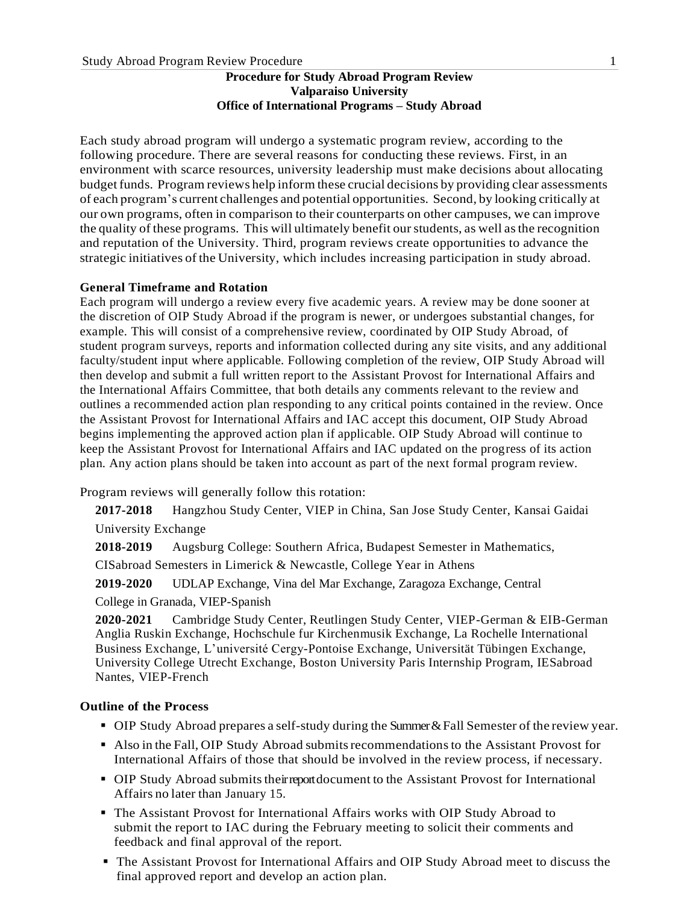#### **Procedure for Study Abroad Program Review Valparaiso University Office of International Programs – Study Abroad**

Each study abroad program will undergo a systematic program review, according to the following procedure. There are several reasons for conducting these reviews. First, in an environment with scarce resources, university leadership must make decisions about allocating budgetfunds. Program reviews help inform these crucial decisions by providing clear assessments of each program's current challenges and potential opportunities. Second, by looking critically at our own programs, often in comparison to their counterparts on other campuses, we can improve the quality of these programs. This will ultimately benefit ourstudents, as well asthe recognition and reputation of the University. Third, program reviews create opportunities to advance the strategic initiatives of the University, which includes increasing participation in study abroad.

#### **General Timeframe and Rotation**

Each program will undergo a review every five academic years. A review may be done sooner at the discretion of OIP Study Abroad if the program is newer, or undergoes substantial changes, for example. This will consist of a comprehensive review, coordinated by OIP Study Abroad, of student program surveys, reports and information collected during any site visits, and any additional faculty/student input where applicable. Following completion of the review, OIP Study Abroad will then develop and submit a full written report to the Assistant Provost for International Affairs and the International Affairs Committee, that both details any comments relevant to the review and outlines a recommended action plan responding to any critical points contained in the review. Once the Assistant Provost for International Affairs and IAC accept this document, OIP Study Abroad begins implementing the approved action plan if applicable. OIP Study Abroad will continue to keep the Assistant Provost for International Affairs and IAC updated on the progress of its action plan. Any action plans should be taken into account as part of the next formal program review.

Program reviews will generally follow this rotation:

**2017-2018** Hangzhou Study Center, VIEP in China, San Jose Study Center, Kansai Gaidai University Exchange

**2018-2019** Augsburg College: Southern Africa, Budapest Semester in Mathematics,

CISabroad Semesters in Limerick & Newcastle, College Year in Athens

**2019-2020** UDLAP Exchange, Vina del Mar Exchange, Zaragoza Exchange, Central

College in Granada, VIEP-Spanish

**2020-2021** Cambridge Study Center, Reutlingen Study Center, VIEP-German & EIB-German Anglia Ruskin Exchange, Hochschule fur Kirchenmusik Exchange, La Rochelle International Business Exchange, L'université Cergy-Pontoise Exchange, Universität Tübingen Exchange, University College Utrecht Exchange, Boston University Paris Internship Program, IESabroad Nantes, VIEP-French

#### **Outline of the Process**

- OIP Study Abroad prepares a self-study during the Summer & Fall Semester of the review year.
- Also in the Fall, OIP Study Abroad submits recommendations to the Assistant Provost for International Affairs of those that should be involved in the review process, if necessary.
- OIP Study Abroad submits their report document to the Assistant Provost for International Affairs no later than January 15.
- The Assistant Provost for International Affairs works with OIP Study Abroad to submit the report to IAC during the February meeting to solicit their comments and feedback and final approval of the report.
- The Assistant Provost for International Affairs and OIP Study Abroad meet to discuss the final approved report and develop an action plan.